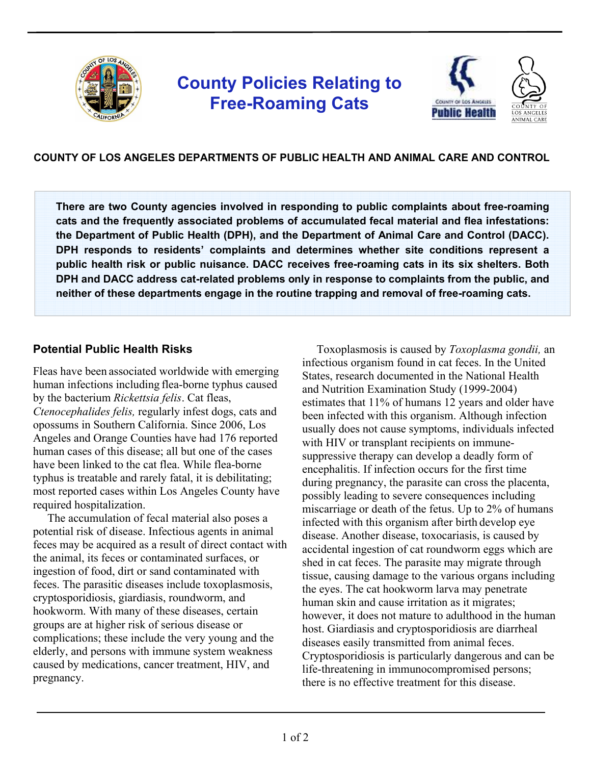

# **County Policies Relating to Free-Roaming Cats**



## **COUNTY OF LOS ANGELES DEPARTMENTS OF PUBLIC HEALTH AND ANIMAL CARE AND CONTROL**

**There are two County agencies involved in responding to public complaints about free-roaming cats and the frequently associated problems of accumulated fecal material and flea infestations: the Department of Public Health (DPH), and the Department of Animal Care and Control (DACC). DPH responds to residents' complaints and determines whether site conditions represent a public health risk or public nuisance. DACC receives free-roaming cats in its six shelters. Both DPH and DACC address cat-related problems only in response to complaints from the public, and neither of these departments engage in the routine trapping and removal of free-roaming cats.**

## **Potential Public Health Risks**

Fleas have been associated worldwide with emerging human infections including flea-borne typhus caused by the bacterium *Rickettsia felis*. Cat fleas, *Ctenocephalides felis,* regularly infest dogs, cats and opossums in Southern California. Since 2006, Los Angeles and Orange Counties have had 176 reported human cases of this disease; all but one of the cases have been linked to the cat flea. While flea-borne typhus is treatable and rarely fatal, it is debilitating; most reported cases within Los Angeles County have required hospitalization.

 The accumulation of fecal material also poses a potential risk of disease. Infectious agents in animal feces may be acquired as a result of direct contact with the animal, its feces or contaminated surfaces, or ingestion of food, dirt or sand contaminated with feces. The parasitic diseases include toxoplasmosis, cryptosporidiosis, giardiasis, roundworm, and hookworm. With many of these diseases, certain groups are at higher risk of serious disease or complications; these include the very young and the elderly, and persons with immune system weakness caused by medications, cancer treatment, HIV, and pregnancy.

 Toxoplasmosis is caused by *Toxoplasma gondii,* an infectious organism found in cat feces. In the United States, research documented in the National Health and Nutrition Examination Study (1999-2004) estimates that 11% of humans 12 years and older have been infected with this organism. Although infection usually does not cause symptoms, individuals infected with HIV or transplant recipients on immunesuppressive therapy can develop a deadly form of encephalitis. If infection occurs for the first time during pregnancy, the parasite can cross the placenta, possibly leading to severe consequences including miscarriage or death of the fetus. Up to 2% of humans infected with this organism after birth develop eye disease. Another disease, toxocariasis, is caused by accidental ingestion of cat roundworm eggs which are shed in cat feces. The parasite may migrate through tissue, causing damage to the various organs including the eyes. The cat hookworm larva may penetrate human skin and cause irritation as it migrates; however, it does not mature to adulthood in the human host. Giardiasis and cryptosporidiosis are diarrheal diseases easily transmitted from animal feces. Cryptosporidiosis is particularly dangerous and can be life-threatening in immunocompromised persons; there is no effective treatment for this disease.